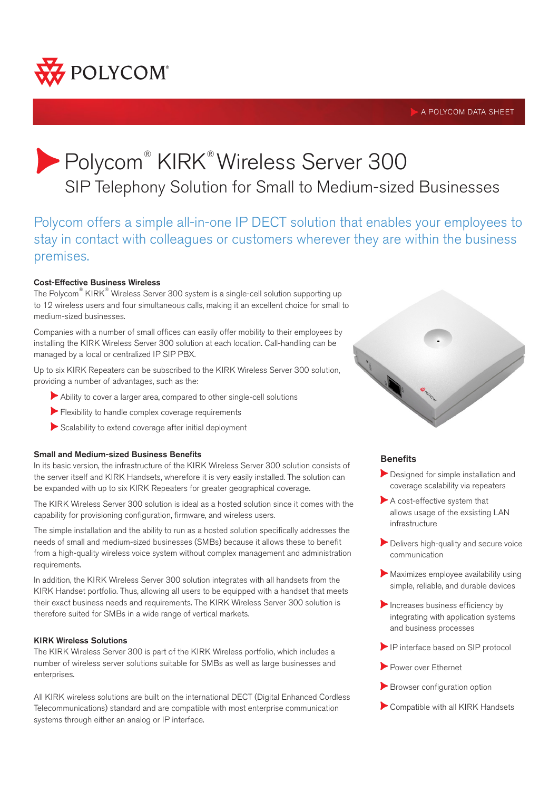

# A POLYCOM DATA SHEET

# Polycom® KIRK® Wireless Server 300 SIP Telephony Solution for Small to Medium-sized Businesses

Polycom offers a simple all-in-one IP DECT solution that enables your employees to stay in contact with colleagues or customers wherever they are within the business premises.

# Cost-Effective Business Wireless

The Polycom® KIRK® Wireless Server 300 system is a single-cell solution supporting up to 12 wireless users and four simultaneous calls, making it an excellent choice for small to medium-sized businesses.

Companies with a number of small offices can easily offer mobility to their employees by installing the KIRK Wireless Server 300 solution at each location. Call-handling can be managed by a local or centralized IP SIP PBX.

Up to six KIRK Repeaters can be subscribed to the KIRK Wireless Server 300 solution, providing a number of advantages, such as the:

- Ability to cover a larger area, compared to other single-cell solutions
- Flexibility to handle complex coverage requirements
- Scalability to extend coverage after initial deployment

#### Small and Medium-sized Business Benefits

In its basic version, the infrastructure of the KIRK Wireless Server 300 solution consists of the server itself and KIRK Handsets, wherefore it is very easily installed. The solution can be expanded with up to six KIRK Repeaters for greater geographical coverage.

The KIRK Wireless Server 300 solution is ideal as a hosted solution since it comes with the capability for provisioning configuration, firmware, and wireless users.

The simple installation and the ability to run as a hosted solution specifically addresses the needs of small and medium-sized businesses (SMBs) because it allows these to benefit from a high-quality wireless voice system without complex management and administration requirements.

In addition, the KIRK Wireless Server 300 solution integrates with all handsets from the KIRK Handset portfolio. Thus, allowing all users to be equipped with a handset that meets their exact business needs and requirements. The KIRK Wireless Server 300 solution is therefore suited for SMBs in a wide range of vertical markets.

#### KIRK Wireless Solutions

The KIRK Wireless Server 300 is part of the KIRK Wireless portfolio, which includes a number of wireless server solutions suitable for SMBs as well as large businesses and enterprises.

All KIRK wireless solutions are built on the international DECT (Digital Enhanced Cordless Telecommunications) standard and are compatible with most enterprise communication systems through either an analog or IP interface.



# **Benefits**

- Designed for simple installation and coverage scalability via repeaters
- A cost-effective system that allows usage of the exsisting LAN infrastructure
- Delivers high-quality and secure voice communication
- Maximizes employee availability using simple, reliable, and durable devices
- $\blacktriangleright$  Increases business efficiency by integrating with application systems and business processes
- IP interface based on SIP protocol
- Power over Ethernet
- Browser configuration option
- Compatible with all KIRK Handsets